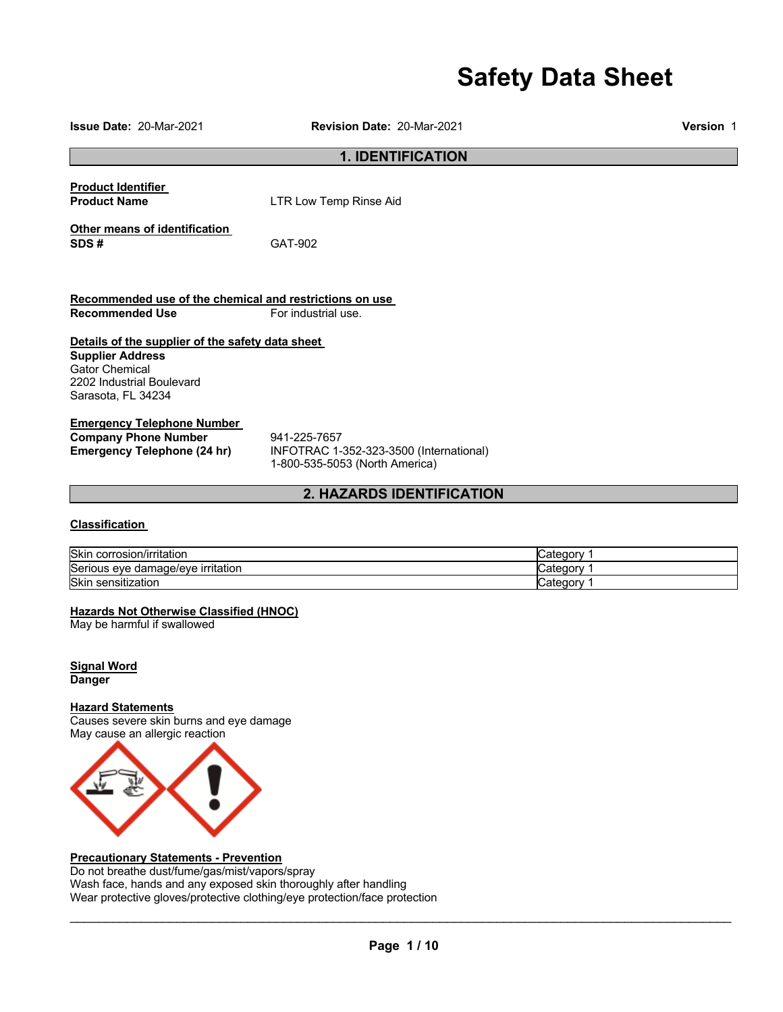# **Safety Data Sheet**

**Issue Date:** 20-Mar-2021 **Revision Date:** 20-Mar-2021 **Version** 1 **1. IDENTIFICATION Product Identifier Product Name LTR Low Temp Rinse Aid Other means of identification SDS #** GAT-902 **Recommended use of the chemical and restrictions on use Recommended Use For industrial use. Details of the supplier of the safety data sheet Supplier Address** Gator Chemical 2202 Industrial Boulevard Sarasota, FL 34234 **Emergency Telephone Number Company Phone Number** 941-225-7657<br>**Emergency Telephone (24 hr)** INFOTRAC 1-**Emergency Telephone (24 hr)** INFOTRAC 1-352-323-3500 (International) 1-800-535-5053 (North America) **2. HAZARDS IDENTIFICATION Classification**  Skin corrosion/irritation Category 1 Serious eye damage/eye irritation contract the contract of category 1 Skin sensitization **Category 1** and Category 1 and Category 1 and Category 1 and Category 1 and Category 1 and Category 1 and Category 1 and Category 1 and Category 1 and Category 1 and Category 1 and Category 1 and Catego **Hazards Not Otherwise Classified (HNOC)** May be harmful if swallowed **Signal Word Danger Hazard Statements** Causes severe skin burns and eye damage May cause an allergic reaction



### **Precautionary Statements - Prevention**

Do not breathe dust/fume/gas/mist/vapors/spray Wash face, hands and any exposed skin thoroughly after handling Wear protective gloves/protective clothing/eye protection/face protection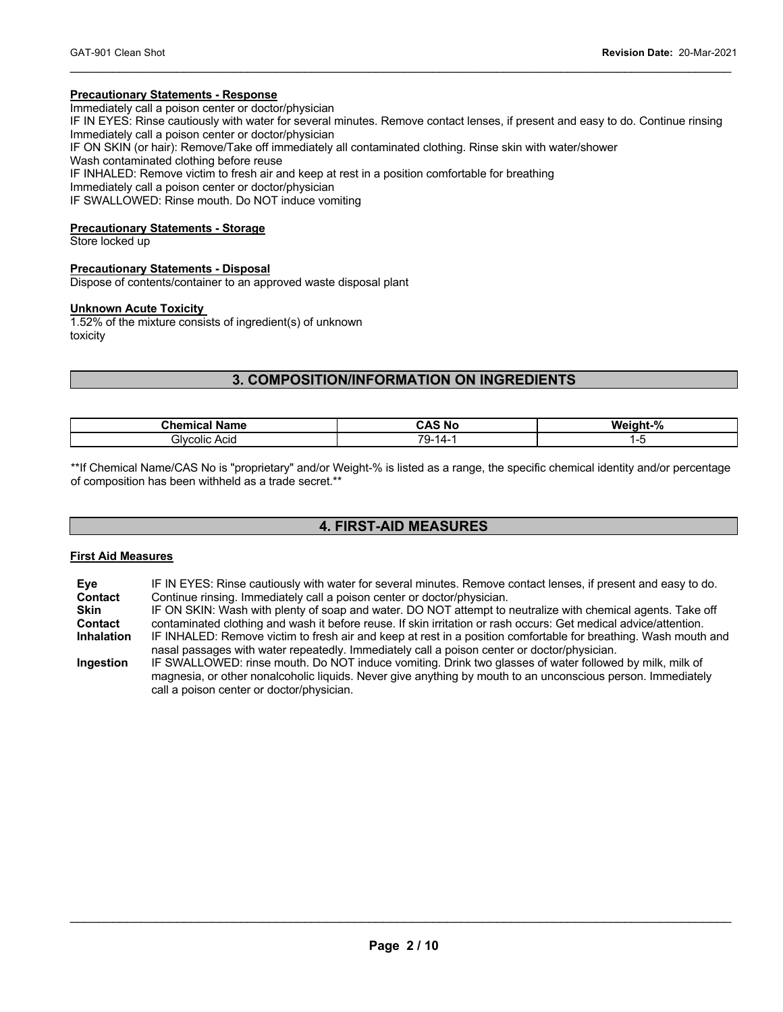### **Precautionary Statements - Response**

Immediately call a poison center or doctor/physician

IF IN EYES: Rinse cautiously with water for several minutes. Remove contact lenses, if present and easy to do. Continue rinsing Immediately call a poison center or doctor/physician

 $\mathcal{L}_\mathcal{L} = \mathcal{L}_\mathcal{L} = \mathcal{L}_\mathcal{L} = \mathcal{L}_\mathcal{L} = \mathcal{L}_\mathcal{L} = \mathcal{L}_\mathcal{L} = \mathcal{L}_\mathcal{L} = \mathcal{L}_\mathcal{L} = \mathcal{L}_\mathcal{L} = \mathcal{L}_\mathcal{L} = \mathcal{L}_\mathcal{L} = \mathcal{L}_\mathcal{L} = \mathcal{L}_\mathcal{L} = \mathcal{L}_\mathcal{L} = \mathcal{L}_\mathcal{L} = \mathcal{L}_\mathcal{L} = \mathcal{L}_\mathcal{L}$ 

IF ON SKIN (or hair): Remove/Take off immediately all contaminated clothing. Rinse skin with water/shower

Wash contaminated clothing before reuse

IF INHALED: Remove victim to fresh air and keep at rest in a position comfortable for breathing

Immediately call a poison center or doctor/physician

IF SWALLOWED: Rinse mouth. Do NOT induce vomiting

### **Precautionary Statements - Storage**

Store locked up

### **Precautionary Statements - Disposal**

Dispose of contents/container to an approved waste disposal plant

### **Unknown Acute Toxicity**

1.52% of the mixture consists of ingredient(s) of unknown toxicity

### **3. COMPOSITION/INFORMATION ON INGREDIENTS**

| <b>Chamic</b><br>≀ame | N0<br>. и | W۴.<br>70 |
|-----------------------|-----------|-----------|
| . Hvr<br>colic Acid   | 71<br>--  | $\sim$    |

\*\*If Chemical Name/CAS No is "proprietary" and/or Weight-% is listed as a range, the specific chemical identity and/or percentage of composition has been withheld as a trade secret.\*\*

### **4. FIRST-AID MEASURES**

### **First Aid Measures**

| Eve<br><b>Contact</b> | IF IN EYES: Rinse cautiously with water for several minutes. Remove contact lenses, if present and easy to do.<br>Continue rinsing. Immediately call a poison center or doctor/physician. |
|-----------------------|-------------------------------------------------------------------------------------------------------------------------------------------------------------------------------------------|
|                       |                                                                                                                                                                                           |
| <b>Skin</b>           | IF ON SKIN: Wash with plenty of soap and water. DO NOT attempt to neutralize with chemical agents. Take off                                                                               |
| <b>Contact</b>        | contaminated clothing and wash it before reuse. If skin irritation or rash occurs: Get medical advice/attention.                                                                          |
| <b>Inhalation</b>     | IF INHALED: Remove victim to fresh air and keep at rest in a position comfortable for breathing. Wash mouth and                                                                           |
|                       | nasal passages with water repeatedly. Immediately call a poison center or doctor/physician.                                                                                               |
| Ingestion             | IF SWALLOWED: rinse mouth. Do NOT induce vomiting. Drink two glasses of water followed by milk, milk of                                                                                   |
|                       | magnesia, or other nonalcoholic liquids. Never give anything by mouth to an unconscious person. Immediately                                                                               |
|                       | call a poison center or doctor/physician.                                                                                                                                                 |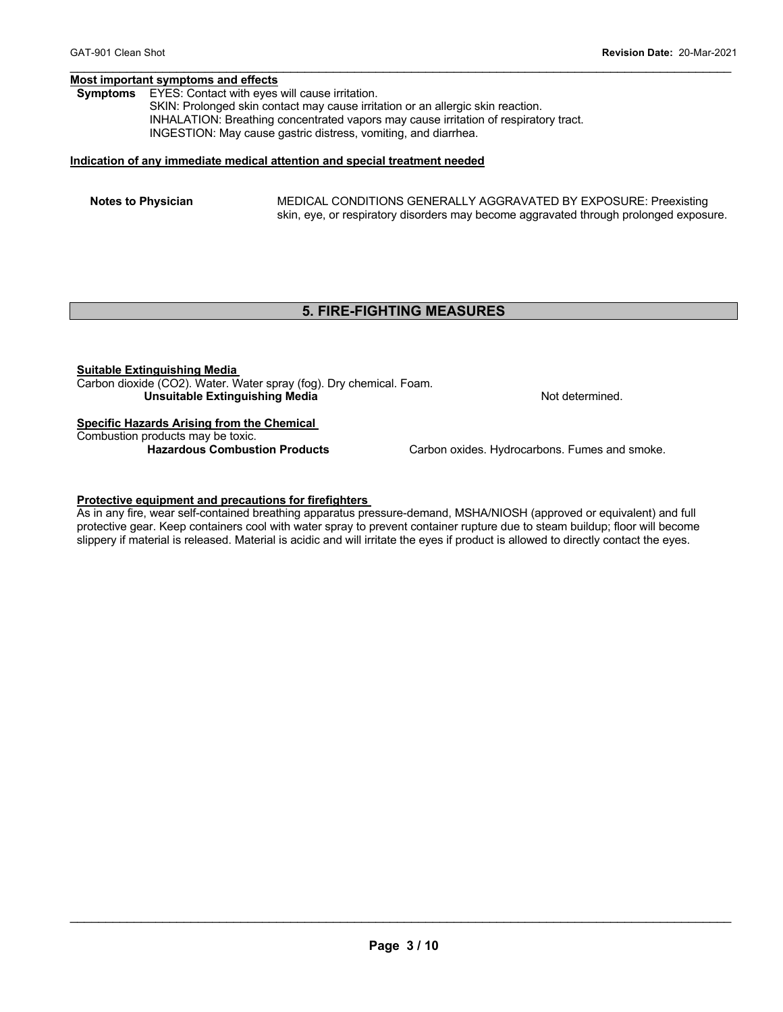### **Most important symptoms and effects**

**Symptoms** EYES: Contact with eyes will cause irritation.

SKIN: Prolonged skin contact may cause irritation or an allergic skin reaction. INHALATION: Breathing concentrated vapors may cause irritation of respiratory tract. INGESTION: May cause gastric distress, vomiting, and diarrhea.

### **Indication of any immediate medical attention and special treatment needed**

**Notes to Physician** MEDICAL CONDITIONS GENERALLY AGGRAVATED BY EXPOSURE: Preexisting skin, eye, or respiratory disorders may become aggravated through prolonged exposure.

### **5. FIRE-FIGHTING MEASURES**

 $\mathcal{L}_\mathcal{L} = \mathcal{L}_\mathcal{L} = \mathcal{L}_\mathcal{L} = \mathcal{L}_\mathcal{L} = \mathcal{L}_\mathcal{L} = \mathcal{L}_\mathcal{L} = \mathcal{L}_\mathcal{L} = \mathcal{L}_\mathcal{L} = \mathcal{L}_\mathcal{L} = \mathcal{L}_\mathcal{L} = \mathcal{L}_\mathcal{L} = \mathcal{L}_\mathcal{L} = \mathcal{L}_\mathcal{L} = \mathcal{L}_\mathcal{L} = \mathcal{L}_\mathcal{L} = \mathcal{L}_\mathcal{L} = \mathcal{L}_\mathcal{L}$ 

### **Suitable Extinguishing Media**

Carbon dioxide (CO2). Water. Water spray (fog). Dry chemical. Foam. **Unsuitable Extinguishing Media**  Not determined.

### **Specific Hazards Arising from the Chemical**

Combustion products may be toxic.

Carbon oxides. Hydrocarbons. Fumes and smoke.

### **Protective equipment and precautions for firefighters**

As in any fire, wear self-contained breathing apparatus pressure-demand, MSHA/NIOSH (approved or equivalent) and full protective gear. Keep containers cool with water spray to prevent container rupture due to steam buildup; floor will become slippery if material is released. Material is acidic and will irritate the eyes if product is allowed to directly contact the eyes.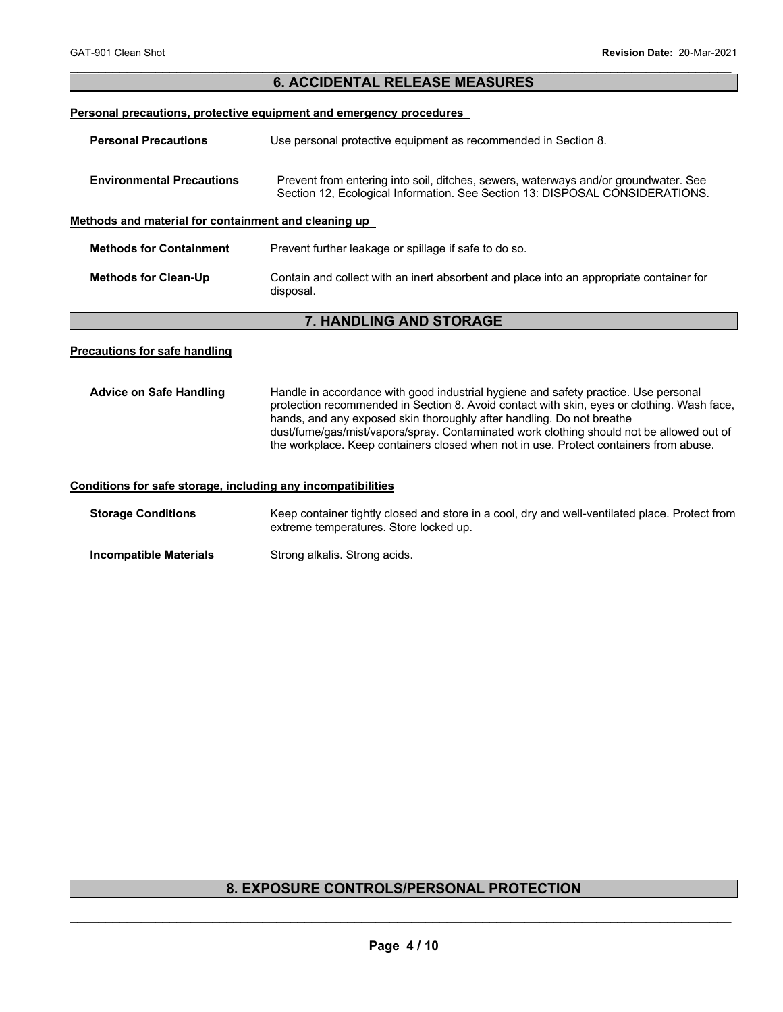| <b>6. ACCIDENTAL RELEASE MEASURES</b>                               |                                                                                                                                                                     |  |  |  |
|---------------------------------------------------------------------|---------------------------------------------------------------------------------------------------------------------------------------------------------------------|--|--|--|
| Personal precautions, protective equipment and emergency procedures |                                                                                                                                                                     |  |  |  |
| <b>Personal Precautions</b>                                         | Use personal protective equipment as recommended in Section 8.                                                                                                      |  |  |  |
| <b>Environmental Precautions</b>                                    | Prevent from entering into soil, ditches, sewers, waterways and/or groundwater. See<br>Section 12, Ecological Information. See Section 13: DISPOSAL CONSIDERATIONS. |  |  |  |
| Methods and material for containment and cleaning up                |                                                                                                                                                                     |  |  |  |
| <b>Methods for Containment</b>                                      | Prevent further leakage or spillage if safe to do so.                                                                                                               |  |  |  |
| <b>Methods for Clean-Up</b>                                         | Contain and collect with an inert absorbent and place into an appropriate container for<br>disposal.                                                                |  |  |  |
| <b>7. HANDLING AND STORAGE</b>                                      |                                                                                                                                                                     |  |  |  |
|                                                                     |                                                                                                                                                                     |  |  |  |

 $\mathcal{L}_\mathcal{L} = \mathcal{L}_\mathcal{L} = \mathcal{L}_\mathcal{L} = \mathcal{L}_\mathcal{L} = \mathcal{L}_\mathcal{L} = \mathcal{L}_\mathcal{L} = \mathcal{L}_\mathcal{L} = \mathcal{L}_\mathcal{L} = \mathcal{L}_\mathcal{L} = \mathcal{L}_\mathcal{L} = \mathcal{L}_\mathcal{L} = \mathcal{L}_\mathcal{L} = \mathcal{L}_\mathcal{L} = \mathcal{L}_\mathcal{L} = \mathcal{L}_\mathcal{L} = \mathcal{L}_\mathcal{L} = \mathcal{L}_\mathcal{L}$ 

### **Precautions for safe handling**

| <b>Advice on Safe Handling</b>                               | Handle in accordance with good industrial hygiene and safety practice. Use personal<br>protection recommended in Section 8. Avoid contact with skin, eyes or clothing. Wash face,<br>hands, and any exposed skin thoroughly after handling. Do not breathe<br>dust/fume/gas/mist/vapors/spray. Contaminated work clothing should not be allowed out of<br>the workplace. Keep containers closed when not in use. Protect containers from abuse. |  |  |  |
|--------------------------------------------------------------|-------------------------------------------------------------------------------------------------------------------------------------------------------------------------------------------------------------------------------------------------------------------------------------------------------------------------------------------------------------------------------------------------------------------------------------------------|--|--|--|
| Conditions for safe storage, including any incompatibilities |                                                                                                                                                                                                                                                                                                                                                                                                                                                 |  |  |  |

## **Storage Conditions** Keep container tightly closed and store in a cool, dry and well-ventilated place. Protect from extreme temperatures. Store locked up.

### **Incompatible Materials Strong alkalis. Strong acids.**

## **8. EXPOSURE CONTROLS/PERSONAL PROTECTION**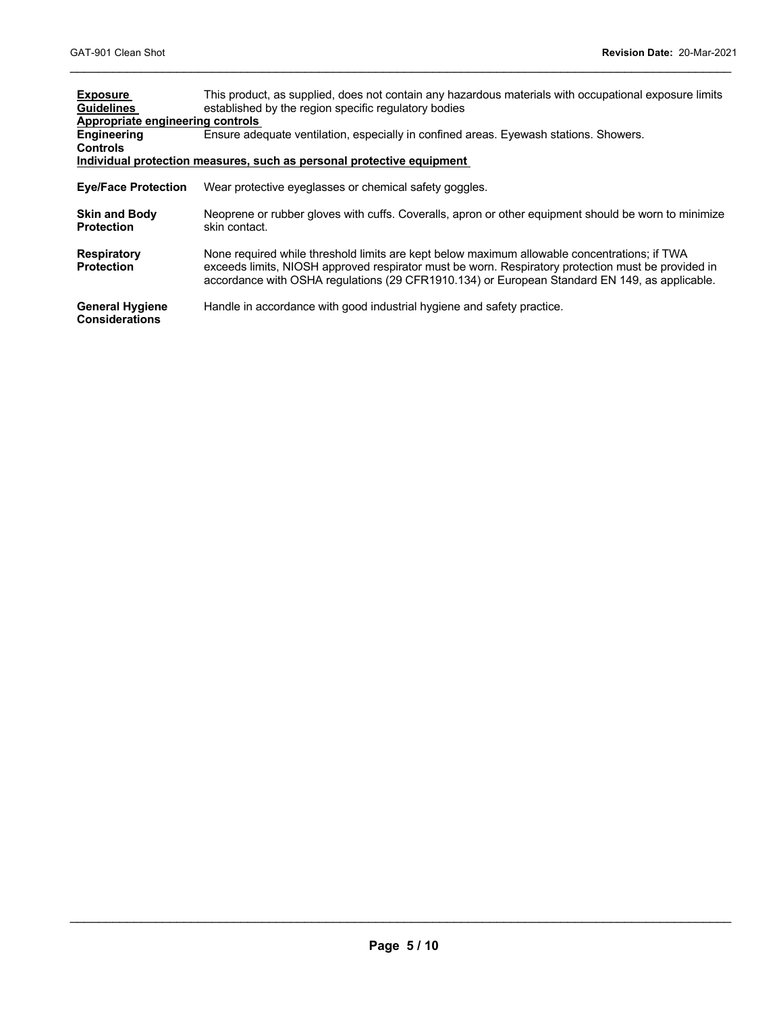| <b>Exposure</b><br><b>Guidelines</b>            | This product, as supplied, does not contain any hazardous materials with occupational exposure limits<br>established by the region specific regulatory bodies                                                                                                                                       |
|-------------------------------------------------|-----------------------------------------------------------------------------------------------------------------------------------------------------------------------------------------------------------------------------------------------------------------------------------------------------|
| Appropriate engineering controls                |                                                                                                                                                                                                                                                                                                     |
| <b>Engineering</b><br><b>Controls</b>           | Ensure adequate ventilation, especially in confined areas. Eyewash stations. Showers.                                                                                                                                                                                                               |
|                                                 | Individual protection measures, such as personal protective equipment                                                                                                                                                                                                                               |
| <b>Eye/Face Protection</b>                      | Wear protective eyeglasses or chemical safety goggles.                                                                                                                                                                                                                                              |
| <b>Skin and Body</b><br><b>Protection</b>       | Neoprene or rubber gloves with cuffs. Coveralls, apron or other equipment should be worn to minimize<br>skin contact.                                                                                                                                                                               |
| Respiratory<br><b>Protection</b>                | None required while threshold limits are kept below maximum allowable concentrations; if TWA<br>exceeds limits, NIOSH approved respirator must be worn. Respiratory protection must be provided in<br>accordance with OSHA regulations (29 CFR1910.134) or European Standard EN 149, as applicable. |
| <b>General Hygiene</b><br><b>Considerations</b> | Handle in accordance with good industrial hygiene and safety practice.                                                                                                                                                                                                                              |

 $\mathcal{L}_\mathcal{L} = \mathcal{L}_\mathcal{L} = \mathcal{L}_\mathcal{L} = \mathcal{L}_\mathcal{L} = \mathcal{L}_\mathcal{L} = \mathcal{L}_\mathcal{L} = \mathcal{L}_\mathcal{L} = \mathcal{L}_\mathcal{L} = \mathcal{L}_\mathcal{L} = \mathcal{L}_\mathcal{L} = \mathcal{L}_\mathcal{L} = \mathcal{L}_\mathcal{L} = \mathcal{L}_\mathcal{L} = \mathcal{L}_\mathcal{L} = \mathcal{L}_\mathcal{L} = \mathcal{L}_\mathcal{L} = \mathcal{L}_\mathcal{L}$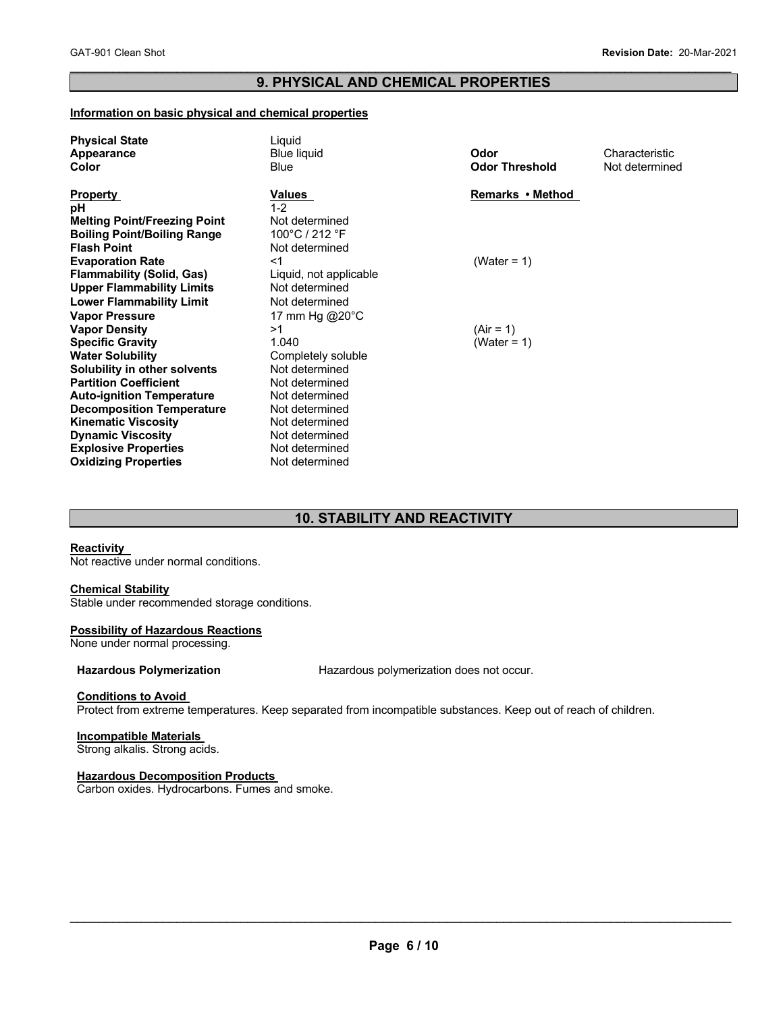### $\mathcal{L}_\mathcal{L} = \mathcal{L}_\mathcal{L} = \mathcal{L}_\mathcal{L} = \mathcal{L}_\mathcal{L} = \mathcal{L}_\mathcal{L} = \mathcal{L}_\mathcal{L} = \mathcal{L}_\mathcal{L} = \mathcal{L}_\mathcal{L} = \mathcal{L}_\mathcal{L} = \mathcal{L}_\mathcal{L} = \mathcal{L}_\mathcal{L} = \mathcal{L}_\mathcal{L} = \mathcal{L}_\mathcal{L} = \mathcal{L}_\mathcal{L} = \mathcal{L}_\mathcal{L} = \mathcal{L}_\mathcal{L} = \mathcal{L}_\mathcal{L}$ **9. PHYSICAL AND CHEMICAL PROPERTIES**

### **Information on basic physical and chemical properties**

| <b>Physical State</b>               | Liguid                 |                       |                |
|-------------------------------------|------------------------|-----------------------|----------------|
| Appearance                          | <b>Blue liquid</b>     | Odor                  | Characteristic |
| Color                               | <b>Blue</b>            | <b>Odor Threshold</b> | Not determined |
|                                     |                        |                       |                |
| <b>Property</b>                     | Values                 | Remarks • Method      |                |
| рH                                  | $1 - 2$                |                       |                |
| <b>Melting Point/Freezing Point</b> | Not determined         |                       |                |
| <b>Boiling Point/Boiling Range</b>  | 100°C / 212 °F         |                       |                |
| <b>Flash Point</b>                  | Not determined         |                       |                |
| <b>Evaporation Rate</b>             | <1                     | (Water = $1$ )        |                |
| <b>Flammability (Solid, Gas)</b>    | Liquid, not applicable |                       |                |
| <b>Upper Flammability Limits</b>    | Not determined         |                       |                |
| <b>Lower Flammability Limit</b>     | Not determined         |                       |                |
| <b>Vapor Pressure</b>               | 17 mm Hg @20°C         |                       |                |
| <b>Vapor Density</b>                | >1                     | $(Air = 1)$           |                |
| <b>Specific Gravity</b>             | 1.040                  | (Water = 1)           |                |
| <b>Water Solubility</b>             | Completely soluble     |                       |                |
| Solubility in other solvents        | Not determined         |                       |                |
| <b>Partition Coefficient</b>        | Not determined         |                       |                |
| <b>Auto-ignition Temperature</b>    | Not determined         |                       |                |
| <b>Decomposition Temperature</b>    | Not determined         |                       |                |
| <b>Kinematic Viscosity</b>          | Not determined         |                       |                |
| <b>Dynamic Viscosity</b>            | Not determined         |                       |                |
| <b>Explosive Properties</b>         | Not determined         |                       |                |
| <b>Oxidizing Properties</b>         | Not determined         |                       |                |

### **10. STABILITY AND REACTIVITY**

### **Reactivity**

Not reactive under normal conditions.

### **Chemical Stability**

Stable under recommended storage conditions.

### **Possibility of Hazardous Reactions**

None under normal processing.

**Hazardous Polymerization** Hazardous polymerization does not occur.

### **Conditions to Avoid**

Protect from extreme temperatures. Keep separated from incompatible substances. Keep out of reach of children.

### **Incompatible Materials**

Strong alkalis. Strong acids.

### **Hazardous Decomposition Products**

Carbon oxides. Hydrocarbons. Fumes and smoke.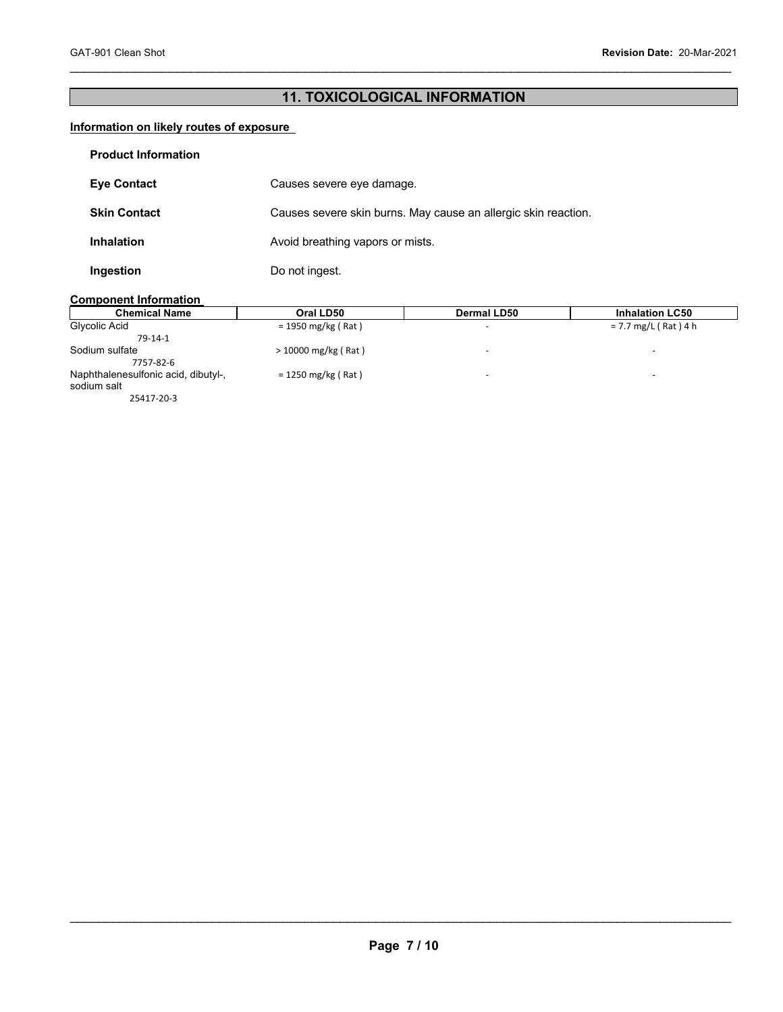## **11. TOXICOLOGICAL INFORMATION**

 $\mathcal{L}_\mathcal{L} = \mathcal{L}_\mathcal{L} = \mathcal{L}_\mathcal{L} = \mathcal{L}_\mathcal{L} = \mathcal{L}_\mathcal{L} = \mathcal{L}_\mathcal{L} = \mathcal{L}_\mathcal{L} = \mathcal{L}_\mathcal{L} = \mathcal{L}_\mathcal{L} = \mathcal{L}_\mathcal{L} = \mathcal{L}_\mathcal{L} = \mathcal{L}_\mathcal{L} = \mathcal{L}_\mathcal{L} = \mathcal{L}_\mathcal{L} = \mathcal{L}_\mathcal{L} = \mathcal{L}_\mathcal{L} = \mathcal{L}_\mathcal{L}$ 

### **Information on likely routes of exposure**

| <b>Product Information</b> |                                                                |
|----------------------------|----------------------------------------------------------------|
| <b>Eye Contact</b>         | Causes severe eye damage.                                      |
| <b>Skin Contact</b>        | Causes severe skin burns. May cause an allergic skin reaction. |
| <b>Inhalation</b>          | Avoid breathing vapors or mists.                               |
| Ingestion                  | Do not ingest.                                                 |

### **Component Information**

| <b>Chemical Name</b>                               | Oral LD50             | Dermal LD50              | <b>Inhalation LC50</b>   |
|----------------------------------------------------|-----------------------|--------------------------|--------------------------|
| Glycolic Acid                                      | $= 1950$ mg/kg (Rat)  | $\overline{\phantom{a}}$ | $= 7.7$ mg/L (Rat) 4 h   |
| $79-14-1$                                          |                       |                          |                          |
| Sodium sulfate<br>7757-82-6                        | $>$ 10000 mg/kg (Rat) | -                        |                          |
| Naphthalenesulfonic acid, dibutyl-,<br>sodium salt | $= 1250$ mg/kg (Rat)  | $\overline{\phantom{a}}$ | $\overline{\phantom{0}}$ |
| 25417-20-3                                         |                       |                          |                          |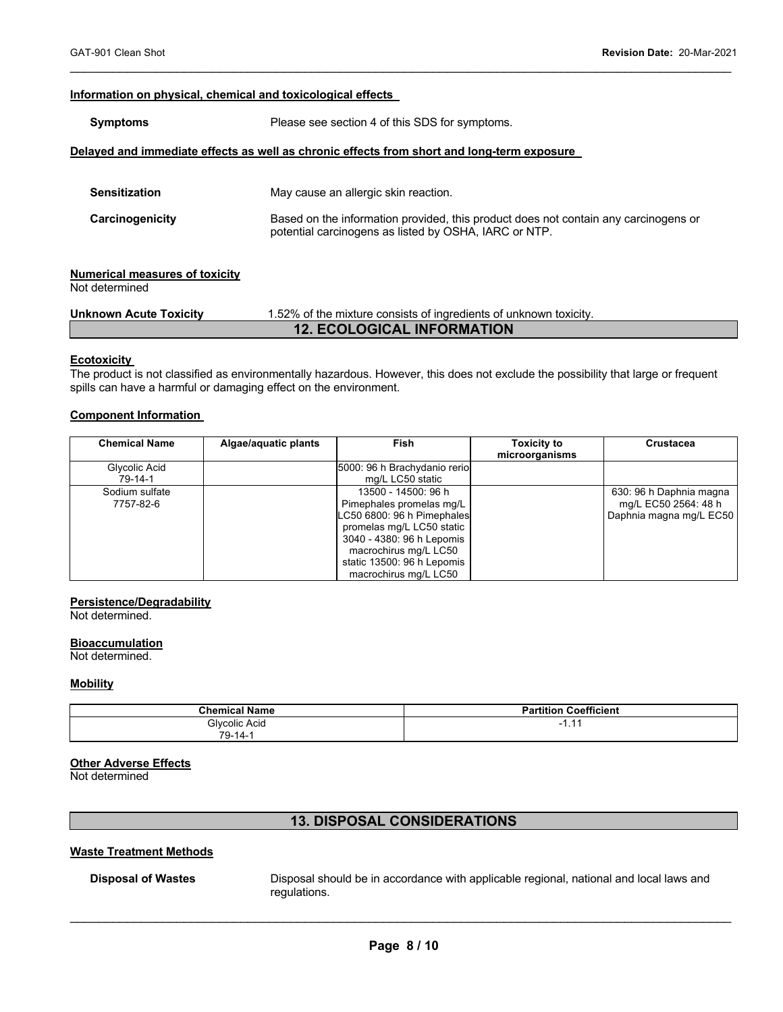### **Information on physical, chemical and toxicological effects**

| <b>Symptoms</b>                                         | Please see section 4 of this SDS for symptoms.                                                                                               |  |  |  |
|---------------------------------------------------------|----------------------------------------------------------------------------------------------------------------------------------------------|--|--|--|
|                                                         | Delayed and immediate effects as well as chronic effects from short and long-term exposure                                                   |  |  |  |
| <b>Sensitization</b>                                    | May cause an allergic skin reaction.                                                                                                         |  |  |  |
| Carcinogenicity                                         | Based on the information provided, this product does not contain any carcinogens or<br>potential carcinogens as listed by OSHA, IARC or NTP. |  |  |  |
| <b>Numerical measures of toxicity</b><br>Not determined |                                                                                                                                              |  |  |  |
| <b>Unknown Acute Toxicity</b>                           | 1.52% of the mixture consists of ingredients of unknown toxicity.                                                                            |  |  |  |
| <b>12. ECOLOGICAL INFORMATION</b>                       |                                                                                                                                              |  |  |  |

 $\mathcal{L}_\mathcal{L} = \mathcal{L}_\mathcal{L} = \mathcal{L}_\mathcal{L} = \mathcal{L}_\mathcal{L} = \mathcal{L}_\mathcal{L} = \mathcal{L}_\mathcal{L} = \mathcal{L}_\mathcal{L} = \mathcal{L}_\mathcal{L} = \mathcal{L}_\mathcal{L} = \mathcal{L}_\mathcal{L} = \mathcal{L}_\mathcal{L} = \mathcal{L}_\mathcal{L} = \mathcal{L}_\mathcal{L} = \mathcal{L}_\mathcal{L} = \mathcal{L}_\mathcal{L} = \mathcal{L}_\mathcal{L} = \mathcal{L}_\mathcal{L}$ 

### **Ecotoxicity**

The product is not classified as environmentally hazardous. However, this does not exclude the possibility that large or frequent spills can have a harmful or damaging effect on the environment.

### **Component Information**

| <b>Chemical Name</b>        | Algae/aquatic plants | <b>Fish</b>                                                                                                                                                                                                             | <b>Toxicity to</b><br>microorganisms | <b>Crustacea</b>                                                           |
|-----------------------------|----------------------|-------------------------------------------------------------------------------------------------------------------------------------------------------------------------------------------------------------------------|--------------------------------------|----------------------------------------------------------------------------|
| Glycolic Acid<br>79-14-1    |                      | 5000: 96 h Brachydanio rerio<br>mg/L LC50 static                                                                                                                                                                        |                                      |                                                                            |
| Sodium sulfate<br>7757-82-6 |                      | 13500 - 14500: 96 h<br>Pimephales promelas mg/L<br>LC50 6800: 96 h Pimephales<br>promelas mg/L LC50 static<br>3040 - 4380: 96 h Lepomis<br>macrochirus mg/L LC50<br>static 13500: 96 h Lepomis<br>macrochirus mg/L LC50 |                                      | 630: 96 h Daphnia magna<br>mg/L EC50 2564: 48 h<br>Daphnia magna mg/L EC50 |

### **Persistence/Degradability**

Not determined.

### **Bioaccumulation**

Not determined.

### **Mobility**

| Chemical.<br>l Name  | Coefficient<br>Partition |
|----------------------|--------------------------|
| <b>Glycolic Acid</b> | . .                      |
| 79-14-1              |                          |

### **Other Adverse Effects**

Not determined

### **13. DISPOSAL CONSIDERATIONS**

### **Waste Treatment Methods**

**Disposal of Wastes** Disposal should be in accordance with applicable regional, national and local laws and regulations.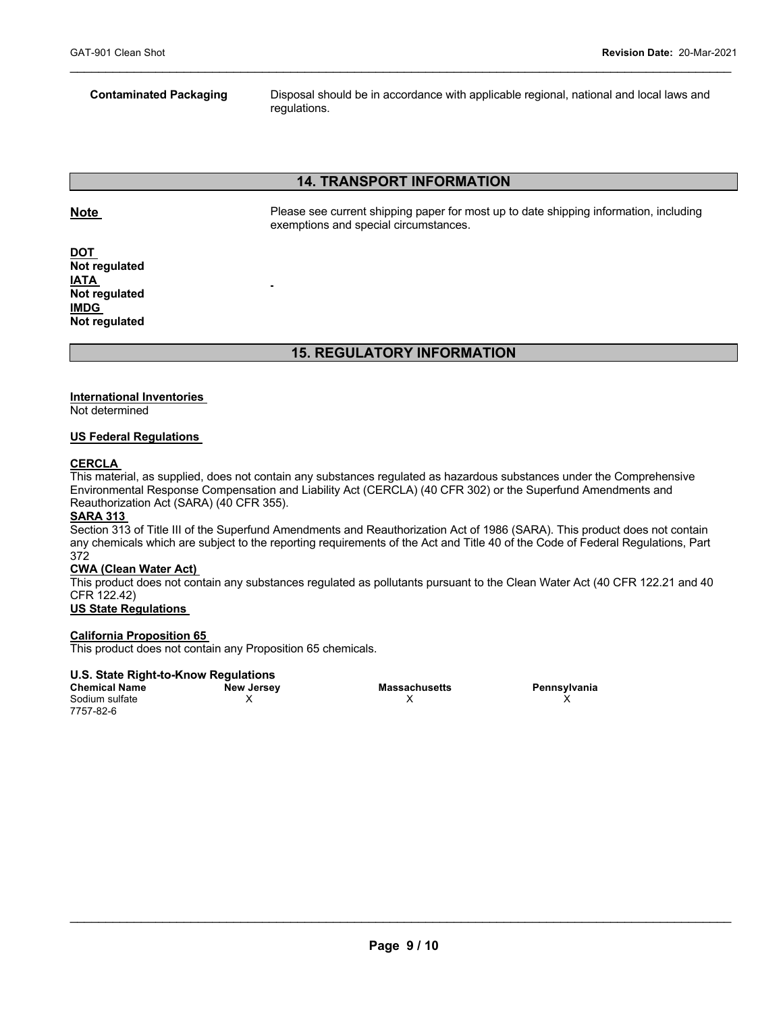**Contaminated Packaging** Disposal should be in accordance with applicable regional, national and local laws and regulations.

### **14. TRANSPORT INFORMATION**

 $\mathcal{L}_\mathcal{L} = \mathcal{L}_\mathcal{L} = \mathcal{L}_\mathcal{L} = \mathcal{L}_\mathcal{L} = \mathcal{L}_\mathcal{L} = \mathcal{L}_\mathcal{L} = \mathcal{L}_\mathcal{L} = \mathcal{L}_\mathcal{L} = \mathcal{L}_\mathcal{L} = \mathcal{L}_\mathcal{L} = \mathcal{L}_\mathcal{L} = \mathcal{L}_\mathcal{L} = \mathcal{L}_\mathcal{L} = \mathcal{L}_\mathcal{L} = \mathcal{L}_\mathcal{L} = \mathcal{L}_\mathcal{L} = \mathcal{L}_\mathcal{L}$ 

**Note Please see current shipping paper for most up to date shipping information, including** exemptions and special circumstances.

**DOT Not regulated IATA Not regulated IMDG Not regulated**

### **15. REGULATORY INFORMATION**

### **International Inventories**

Not determined

### **US Federal Regulations**

### **CERCLA**

This material, as supplied, does not contain any substances regulated as hazardous substances under the Comprehensive Environmental Response Compensation and Liability Act (CERCLA) (40 CFR 302) or the Superfund Amendments and Reauthorization Act (SARA) (40 CFR 355).

### **SARA 313**

Section 313 of Title III of the Superfund Amendments and Reauthorization Act of 1986 (SARA). This product does not contain any chemicals which are subject to the reporting requirements of the Act and Title 40 of the Code of Federal Regulations, Part 372

### **CWA (Clean Water Act)**

This product does not contain any substances regulated as pollutants pursuant to the Clean Water Act (40 CFR 122.21 and 40 CFR 122.42)

### **US State Regulations**

### **California Proposition 65**

This product does not contain any Proposition 65 chemicals.

### **U.S. State Right-to-Know Regulations**

**Chemical Name New Jersey Massachusetts Pennsylvania**  Sodium sulfate 7757-82-6

 $\mathsf X$  x  $\mathsf X$